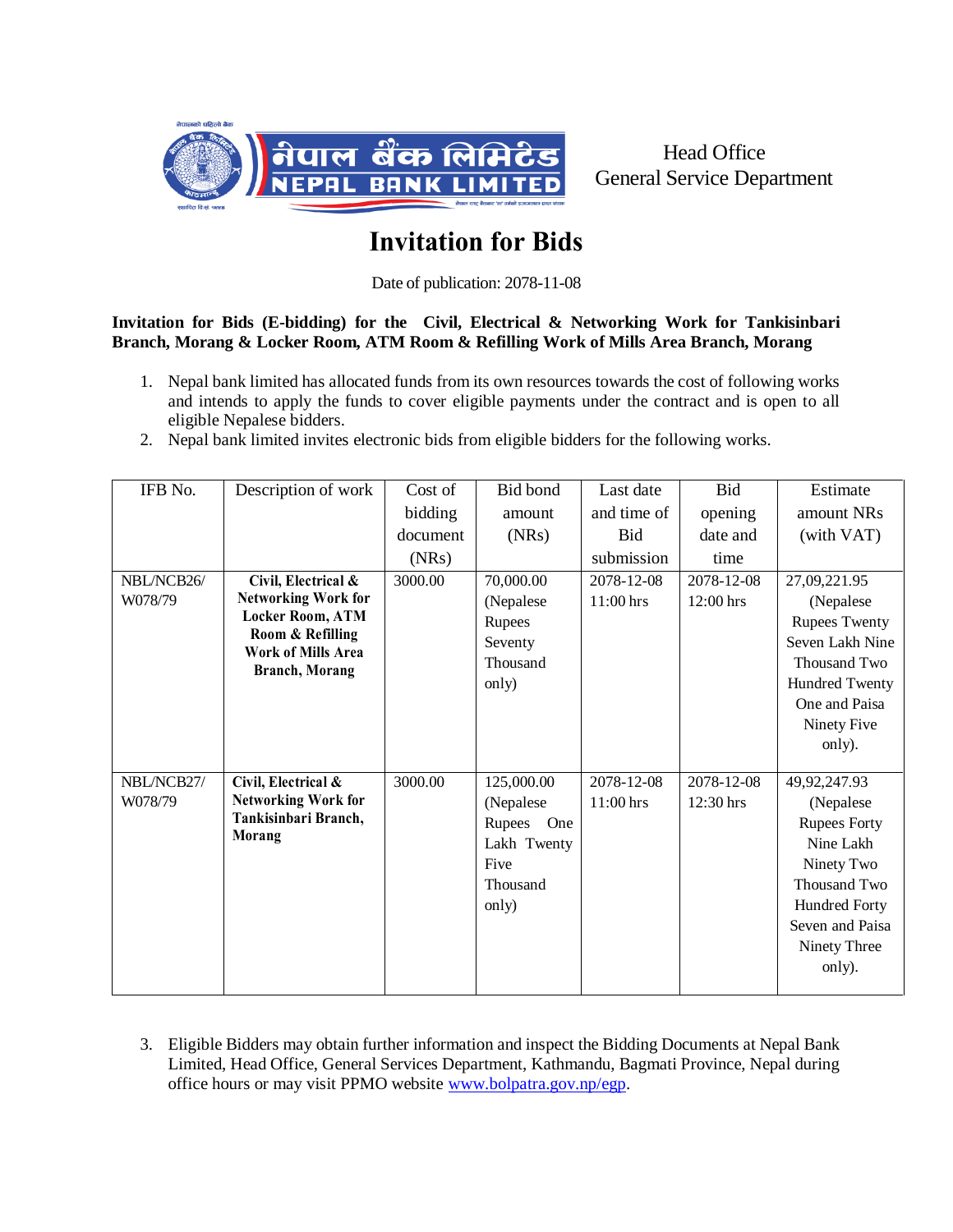

Head Office General Service Department

## **Invitation for Bids**

Date of publication: 2078-11-08

## **Invitation for Bids (E-bidding) for the Civil, Electrical & Networking Work for Tankisinbari Branch, Morang & Locker Room, ATM Room & Refilling Work of Mills Area Branch, Morang**

- 1. Nepal bank limited has allocated funds from its own resources towards the cost of following works and intends to apply the funds to cover eligible payments under the contract and is open to all eligible Nepalese bidders.
- 2. Nepal bank limited invites electronic bids from eligible bidders for the following works.

| IFB No.    | Description of work                         | Cost of  | Bid bond      | Last date   | Bid        | Estimate             |
|------------|---------------------------------------------|----------|---------------|-------------|------------|----------------------|
|            |                                             | bidding  | amount        | and time of | opening    | amount NRs           |
|            |                                             | document | (NRs)         | Bid         | date and   | (with VAT)           |
|            |                                             | (NRs)    |               | submission  | time       |                      |
| NBL/NCB26/ | Civil, Electrical &                         | 3000.00  | 70,000.00     | 2078-12-08  | 2078-12-08 | 27,09,221.95         |
| W078/79    | <b>Networking Work for</b>                  |          | (Nepalese     | $11:00$ hrs | 12:00 hrs  | (Nepalese            |
|            | <b>Locker Room, ATM</b><br>Room & Refilling |          | Rupees        |             |            | <b>Rupees Twenty</b> |
|            | Work of Mills Area                          |          | Seventy       |             |            | Seven Lakh Nine      |
|            | <b>Branch</b> , Morang                      |          | Thousand      |             |            | Thousand Two         |
|            |                                             |          | only)         |             |            | Hundred Twenty       |
|            |                                             |          |               |             |            | One and Paisa        |
|            |                                             |          |               |             |            | Ninety Five          |
|            |                                             |          |               |             |            | only).               |
| NBL/NCB27/ | Civil, Electrical &                         | 3000.00  | 125,000.00    | 2078-12-08  | 2078-12-08 | 49, 92, 247. 93      |
| W078/79    | <b>Networking Work for</b>                  |          | (Nepalese     | 11:00 hrs   | 12:30 hrs  | (Nepalese            |
|            | Tankisinbari Branch,                        |          | Rupees<br>One |             |            | <b>Rupees Forty</b>  |
|            | Morang                                      |          | Lakh Twenty   |             |            | Nine Lakh            |
|            |                                             |          | Five          |             |            | Ninety Two           |
|            |                                             |          | Thousand      |             |            | Thousand Two         |
|            |                                             |          | only)         |             |            | Hundred Forty        |
|            |                                             |          |               |             |            | Seven and Paisa      |
|            |                                             |          |               |             |            | Ninety Three         |
|            |                                             |          |               |             |            | only).               |
|            |                                             |          |               |             |            |                      |

3. Eligible Bidders may obtain further information and inspect the Bidding Documents at Nepal Bank Limited, Head Office, General Services Department, Kathmandu, Bagmati Province, Nepal during office hours or may visit PPMO website [www.bolpatra.gov.np/egp.](http://www.bolpatra.gov.np/egp)